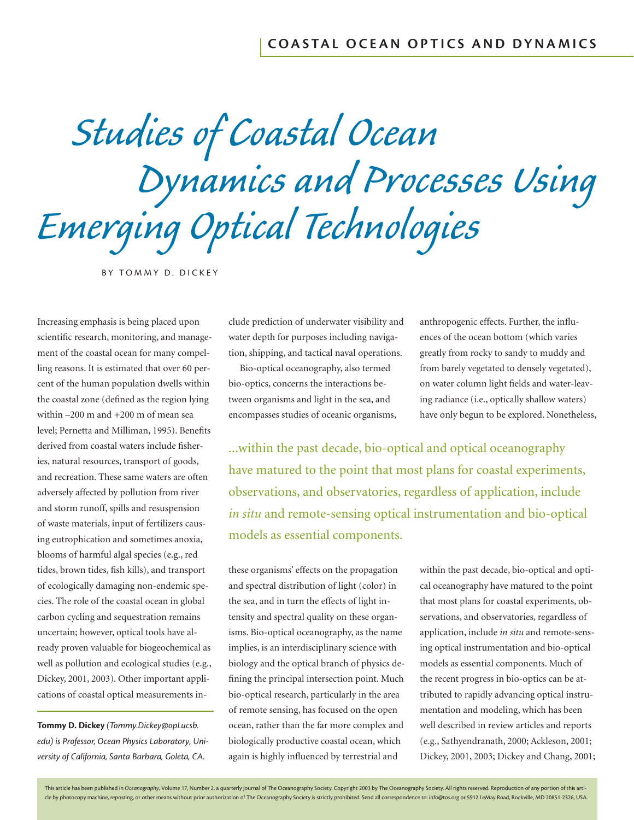*Studies of Coastal Ocean Dynamics and Processes Using Emerging Optical Technologies*

BY TOMMY D. DICKEY

Increasing emphasis is being placed upon scientific research, monitoring, and management of the coastal ocean for many compelling reasons. It is estimated that over 60 percent of the human population dwells within the coastal zone (defined as the region lying within –200 m and +200 m of mean sea level; Pernetta and Milliman, 1995). Benefits derived from coastal waters include fisheries, natural resources, transport of goods, and recreation. These same waters are often adversely affected by pollution from river and storm runoff, spills and resuspension of waste materials, input of fertilizers causing eutrophication and sometimes anoxia, blooms of harmful algal species (e.g., red tides, brown tides, fish kills), and transport of ecologically damaging non-endemic species. The role of the coastal ocean in global carbon cycling and sequestration remains uncertain; however, optical tools have already proven valuable for biogeochemical as well as pollution and ecological studies (e.g., Dickey, 2001, 2003). Other important applications of coastal optical measurements in-

**Tommy D. Dickey** *(Tommy.Dickey@opl.ucsb. edu) is Professor, Ocean Physics Laboratory, University of California, Santa Barbara, Goleta, CA.*

clude prediction of underwater visibility and water depth for purposes including navigation, shipping, and tactical naval operations.

Bio-optical oceanography, also termed bio-optics, concerns the interactions between organisms and light in the sea, and encompasses studies of oceanic organisms, anthropogenic effects. Further, the influences of the ocean bottom (which varies greatly from rocky to sandy to muddy and from barely vegetated to densely vegetated), on water column light fields and water-leaving radiance (i.e., optically shallow waters) have only begun to be explored. Nonetheless,

...within the past decade, bio-optical and optical oceanography have matured to the point that most plans for coastal experiments, observations, and observatories, regardless of application, include *in situ* and remote-sensing optical instrumentation and bio-optical models as essential components.

these organisms' effects on the propagation and spectral distribution of light (color) in the sea, and in turn the effects of light intensity and spectral quality on these organisms. Bio-optical oceanography, as the name implies, is an interdisciplinary science with biology and the optical branch of physics defining the principal intersection point. Much bio-optical research, particularly in the area of remote sensing, has focused on the open ocean, rather than the far more complex and biologically productive coastal ocean, which again is highly influenced by terrestrial and

within the past decade, bio-optical and optical oceanography have matured to the point that most plans for coastal experiments, observations, and observatories, regardless of application, include *in situ* and remote-sensing optical instrumentation and bio-optical models as essential components. Much of the recent progress in bio-optics can be attributed to rapidly advancing optical instrumentation and modeling, which has been well described in review articles and reports (e.g., Sathyendranath, 2000; Ackleson, 2001; Dickey, 2001, 2003; Dickey and Chang, 2001;

This article has been published in *Oceanography,* Volume 17, Number 2, a quarterly journal of The Oceanography Society. Copyright 2003 by The Oceanography Society. All rights reserved. Reproduction of any portion of this cle by photocopy machine, reposting, or other means without prior authorization of The Oceanography Society is strictly prohibited. Send all correspondence to: info@tos.org or 5912 LeMay Road, Rockville, MD 20851-2326, USA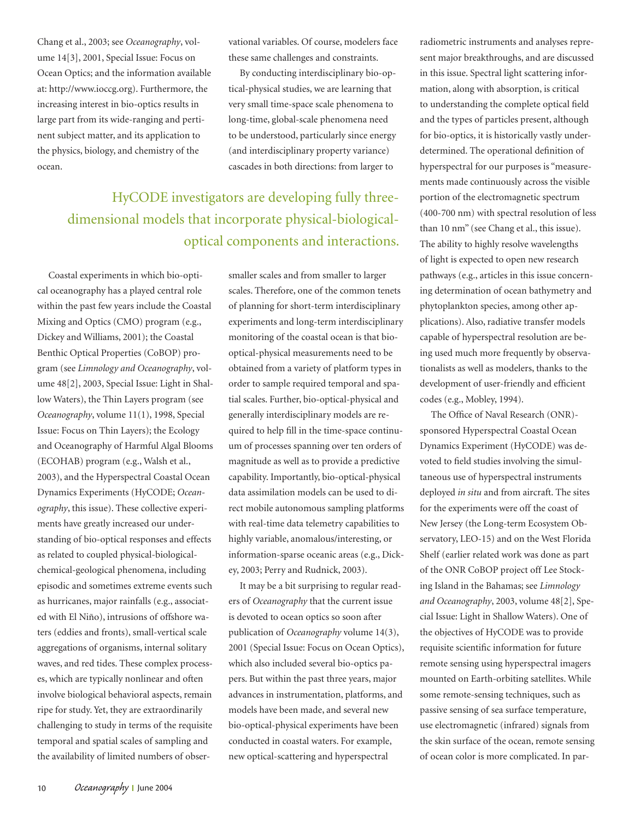Chang et al., 2003; see *Oceanography*, volume 14[3], 2001, Special Issue: Focus on Ocean Optics; and the information available at: http://www.ioccg.org). Furthermore, the increasing interest in bio-optics results in large part from its wide-ranging and pertinent subject matter, and its application to the physics, biology, and chemistry of the ocean.

vational variables. Of course, modelers face these same challenges and constraints.

By conducting interdisciplinary bio-optical-physical studies, we are learning that very small time-space scale phenomena to long-time, global-scale phenomena need to be understood, particularly since energy (and interdisciplinary property variance) cascades in both directions: from larger to

HyCODE investigators are developing fully threedimensional models that incorporate physical-biologicaloptical components and interactions.

Coastal experiments in which bio-optical oceanography has a played central role within the past few years include the Coastal Mixing and Optics (CMO) program (e.g., Dickey and Williams, 2001); the Coastal Benthic Optical Properties (CoBOP) program (see *Limnology and Oceanography*, volume 48[2], 2003, Special Issue: Light in Shallow Waters), the Thin Layers program (see *Oceanography*, volume 11(1), 1998, Special Issue: Focus on Thin Layers); the Ecology and Oceanography of Harmful Algal Blooms (ECOHAB) program (e.g., Walsh et al., 2003), and the Hyperspectral Coastal Ocean Dynamics Experiments (HyCODE; *Oceanography*, this issue). These collective experiments have greatly increased our understanding of bio-optical responses and effects as related to coupled physical-biologicalchemical-geological phenomena, including episodic and sometimes extreme events such as hurricanes, major rainfalls (e.g., associated with El Niño), intrusions of offshore waters (eddies and fronts), small-vertical scale aggregations of organisms, internal solitary waves, and red tides. These complex processes, which are typically nonlinear and often involve biological behavioral aspects, remain ripe for study. Yet, they are extraordinarily challenging to study in terms of the requisite temporal and spatial scales of sampling and the availability of limited numbers of obsersmaller scales and from smaller to larger scales. Therefore, one of the common tenets of planning for short-term interdisciplinary experiments and long-term interdisciplinary monitoring of the coastal ocean is that biooptical-physical measurements need to be obtained from a variety of platform types in order to sample required temporal and spatial scales. Further, bio-optical-physical and generally interdisciplinary models are required to help fill in the time-space continuum of processes spanning over ten orders of magnitude as well as to provide a predictive capability. Importantly, bio-optical-physical data assimilation models can be used to direct mobile autonomous sampling platforms with real-time data telemetry capabilities to highly variable, anomalous/interesting, or information-sparse oceanic areas (e.g., Dickey, 2003; Perry and Rudnick, 2003).

It may be a bit surprising to regular readers of *Oceanography* that the current issue is devoted to ocean optics so soon after publication of *Oceanography* volume 14(3), 2001 (Special Issue: Focus on Ocean Optics), which also included several bio-optics papers. But within the past three years, major advances in instrumentation, platforms, and models have been made, and several new bio-optical-physical experiments have been conducted in coastal waters. For example, new optical-scattering and hyperspectral

radiometric instruments and analyses represent major breakthroughs, and are discussed in this issue. Spectral light scattering information, along with absorption, is critical to understanding the complete optical field and the types of particles present, although for bio-optics, it is historically vastly underdetermined. The operational definition of hyperspectral for our purposes is "measurements made continuously across the visible portion of the electromagnetic spectrum (400-700 nm) with spectral resolution of less than 10 nm" (see Chang et al., this issue). The ability to highly resolve wavelengths of light is expected to open new research pathways (e.g., articles in this issue concerning determination of ocean bathymetry and phytoplankton species, among other applications). Also, radiative transfer models capable of hyperspectral resolution are being used much more frequently by observationalists as well as modelers, thanks to the development of user-friendly and efficient codes (e.g., Mobley, 1994).

The Office of Naval Research (ONR)sponsored Hyperspectral Coastal Ocean Dynamics Experiment (HyCODE) was devoted to field studies involving the simultaneous use of hyperspectral instruments deployed *in situ* and from aircraft. The sites for the experiments were off the coast of New Jersey (the Long-term Ecosystem Observatory, LEO-15) and on the West Florida Shelf (earlier related work was done as part of the ONR CoBOP project off Lee Stocking Island in the Bahamas; see *Limnology and Oceanography*, 2003, volume 48[2], Special Issue: Light in Shallow Waters). One of the objectives of HyCODE was to provide requisite scientific information for future remote sensing using hyperspectral imagers mounted on Earth-orbiting satellites. While some remote-sensing techniques, such as passive sensing of sea surface temperature, use electromagnetic (infrared) signals from the skin surface of the ocean, remote sensing of ocean color is more complicated. In par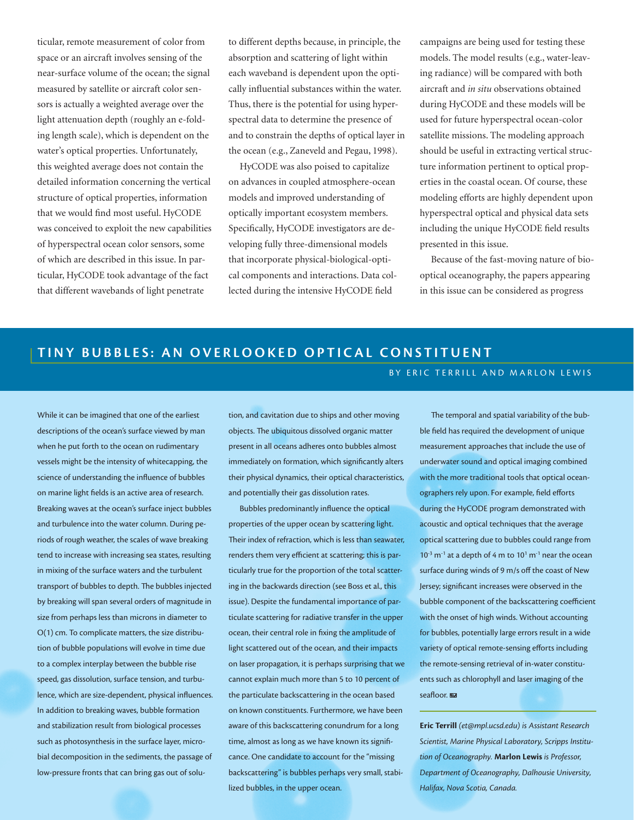ticular, remote measurement of color from space or an aircraft involves sensing of the near-surface volume of the ocean; the signal measured by satellite or aircraft color sensors is actually a weighted average over the light attenuation depth (roughly an e-folding length scale), which is dependent on the water's optical properties. Unfortunately, this weighted average does not contain the detailed information concerning the vertical structure of optical properties, information that we would find most useful. HyCODE was conceived to exploit the new capabilities of hyperspectral ocean color sensors, some of which are described in this issue. In particular, HyCODE took advantage of the fact that different wavebands of light penetrate

to different depths because, in principle, the absorption and scattering of light within each waveband is dependent upon the optically influential substances within the water. Thus, there is the potential for using hyperspectral data to determine the presence of and to constrain the depths of optical layer in the ocean (e.g., Zaneveld and Pegau, 1998).

HyCODE was also poised to capitalize on advances in coupled atmosphere-ocean models and improved understanding of optically important ecosystem members. Specifically, HyCODE investigators are developing fully three-dimensional models that incorporate physical-biological-optical components and interactions. Data collected during the intensive HyCODE field

campaigns are being used for testing these models. The model results (e.g., water-leaving radiance) will be compared with both aircraft and *in situ* observations obtained during HyCODE and these models will be used for future hyperspectral ocean-color satellite missions. The modeling approach should be useful in extracting vertical structure information pertinent to optical properties in the coastal ocean. Of course, these modeling efforts are highly dependent upon hyperspectral optical and physical data sets including the unique HyCODE field results presented in this issue.

Because of the fast-moving nature of biooptical oceanography, the papers appearing in this issue can be considered as progress

BY ERIC TERRILL AND MARLON LEWIS

## **TINY BUBBLES: AN OVERLOOKED OPTICAL CONSTITUENT**

## While it can be imagined that one of the earliest descriptions of the ocean's surface viewed by man when he put forth to the ocean on rudimentary vessels might be the intensity of whitecapping, the science of understanding the influence of bubbles on marine light fields is an active area of research. Breaking waves at the ocean's surface inject bubbles and turbulence into the water column. During periods of rough weather, the scales of wave breaking tend to increase with increasing sea states, resulting in mixing of the surface waters and the turbulent transport of bubbles to depth. The bubbles injected by breaking will span several orders of magnitude in size from perhaps less than microns in diameter to O(1) cm. To complicate matters, the size distribution of bubble populations will evolve in time due to a complex interplay between the bubble rise speed, gas dissolution, surface tension, and turbulence, which are size-dependent, physical influences. In addition to breaking waves, bubble formation and stabilization result from biological processes such as photosynthesis in the surface layer, microbial decomposition in the sediments, the passage of low-pressure fronts that can bring gas out of solu-

tion, and cavitation due to ships and other moving objects. The ubiquitous dissolved organic matter present in all oceans adheres onto bubbles almost immediately on formation, which significantly alters their physical dynamics, their optical characteristics, and potentially their gas dissolution rates.

Bubbles predominantly influence the optical properties of the upper ocean by scattering light. Their index of refraction, which is less than seawater, renders them very efficient at scattering; this is particularly true for the proportion of the total scattering in the backwards direction (see Boss et al., this issue). Despite the fundamental importance of particulate scattering for radiative transfer in the upper ocean, their central role in fixing the amplitude of light scattered out of the ocean, and their impacts on laser propagation, it is perhaps surprising that we cannot explain much more than 5 to 10 percent of the particulate backscattering in the ocean based on known constituents. Furthermore, we have been aware of this backscattering conundrum for a long time, almost as long as we have known its significance. One candidate to account for the "missing backscattering" is bubbles perhaps very small, stabilized bubbles, in the upper ocean.

The temporal and spatial variability of the bubble field has required the development of unique measurement approaches that include the use of underwater sound and optical imaging combined with the more traditional tools that optical oceanographers rely upon. For example, field efforts during the HyCODE program demonstrated with acoustic and optical techniques that the average optical scattering due to bubbles could range from  $10^{-3}$  m<sup>-1</sup> at a depth of 4 m to  $10^{1}$  m<sup>-1</sup> near the ocean surface during winds of 9 m/s off the coast of New Jersey; significant increases were observed in the bubble component of the backscattering coefficient with the onset of high winds. Without accounting for bubbles, potentially large errors result in a wide variety of optical remote-sensing efforts including the remote-sensing retrieval of in-water constituents such as chlorophyll and laser imaging of the seafloor.

*Oceanography* June 2004 <sup>11</sup> *Halifax, Nova Scotia, Canada.*  **Eric Terrill** *(et@mpl.ucsd.edu) is Assistant Research Scientist, Marine Physical Laboratory, Scripps Institution of Oceanography.* **Marlon Lewis** *is Professor, Department of Oceanography, Dalhousie University,*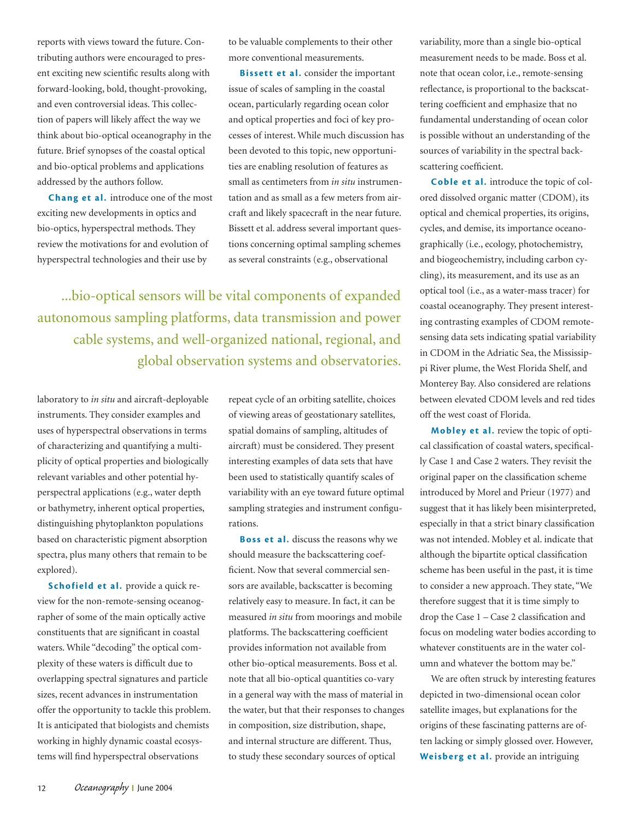reports with views toward the future. Contributing authors were encouraged to present exciting new scientific results along with forward-looking, bold, thought-provoking, and even controversial ideas. This collection of papers will likely affect the way we think about bio-optical oceanography in the future. Brief synopses of the coastal optical and bio-optical problems and applications addressed by the authors follow.

**Chang et al.** introduce one of the most exciting new developments in optics and bio-optics, hyperspectral methods. They review the motivations for and evolution of hyperspectral technologies and their use by

to be valuable complements to their other more conventional measurements.

**Bissett et al.** consider the important issue of scales of sampling in the coastal ocean, particularly regarding ocean color and optical properties and foci of key processes of interest. While much discussion has been devoted to this topic, new opportunities are enabling resolution of features as small as centimeters from *in situ* instrumentation and as small as a few meters from aircraft and likely spacecraft in the near future. Bissett et al. address several important questions concerning optimal sampling schemes as several constraints (e.g., observational

...bio-optical sensors will be vital components of expanded autonomous sampling platforms, data transmission and power cable systems, and well-organized national, regional, and global observation systems and observatories.

laboratory to *in situ* and aircraft-deployable instruments. They consider examples and uses of hyperspectral observations in terms of characterizing and quantifying a multiplicity of optical properties and biologically relevant variables and other potential hyperspectral applications (e.g., water depth or bathymetry, inherent optical properties, distinguishing phytoplankton populations based on characteristic pigment absorption spectra, plus many others that remain to be explored).

**Schofield et al.** provide a quick review for the non-remote-sensing oceanographer of some of the main optically active constituents that are significant in coastal waters. While "decoding" the optical complexity of these waters is difficult due to overlapping spectral signatures and particle sizes, recent advances in instrumentation offer the opportunity to tackle this problem. It is anticipated that biologists and chemists working in highly dynamic coastal ecosystems will find hyperspectral observations

repeat cycle of an orbiting satellite, choices of viewing areas of geostationary satellites, spatial domains of sampling, altitudes of aircraft) must be considered. They present interesting examples of data sets that have been used to statistically quantify scales of variability with an eye toward future optimal sampling strategies and instrument configurations.

**Boss et al.** discuss the reasons why we should measure the backscattering coefficient. Now that several commercial sensors are available, backscatter is becoming relatively easy to measure. In fact, it can be measured *in situ* from moorings and mobile platforms. The backscattering coefficient provides information not available from other bio-optical measurements. Boss et al. note that all bio-optical quantities co-vary in a general way with the mass of material in the water, but that their responses to changes in composition, size distribution, shape, and internal structure are different. Thus, to study these secondary sources of optical

variability, more than a single bio-optical measurement needs to be made. Boss et al. note that ocean color, i.e., remote-sensing reflectance, is proportional to the backscattering coefficient and emphasize that no fundamental understanding of ocean color is possible without an understanding of the sources of variability in the spectral backscattering coefficient.

**Coble et al.** introduce the topic of colored dissolved organic matter (CDOM), its optical and chemical properties, its origins, cycles, and demise, its importance oceanographically (i.e., ecology, photochemistry, and biogeochemistry, including carbon cycling), its measurement, and its use as an optical tool (i.e., as a water-mass tracer) for coastal oceanography. They present interesting contrasting examples of CDOM remotesensing data sets indicating spatial variability in CDOM in the Adriatic Sea, the Mississippi River plume, the West Florida Shelf, and Monterey Bay. Also considered are relations between elevated CDOM levels and red tides off the west coast of Florida.

**Mobley et al.** review the topic of optical classification of coastal waters, specifically Case 1 and Case 2 waters. They revisit the original paper on the classification scheme introduced by Morel and Prieur (1977) and suggest that it has likely been misinterpreted, especially in that a strict binary classification was not intended. Mobley et al. indicate that although the bipartite optical classification scheme has been useful in the past, it is time to consider a new approach. They state, "We therefore suggest that it is time simply to drop the Case  $1 -$ Case 2 classification and focus on modeling water bodies according to whatever constituents are in the water column and whatever the bottom may be."

We are often struck by interesting features depicted in two-dimensional ocean color satellite images, but explanations for the origins of these fascinating patterns are often lacking or simply glossed over. However, **Weisberg et al.** provide an intriguing